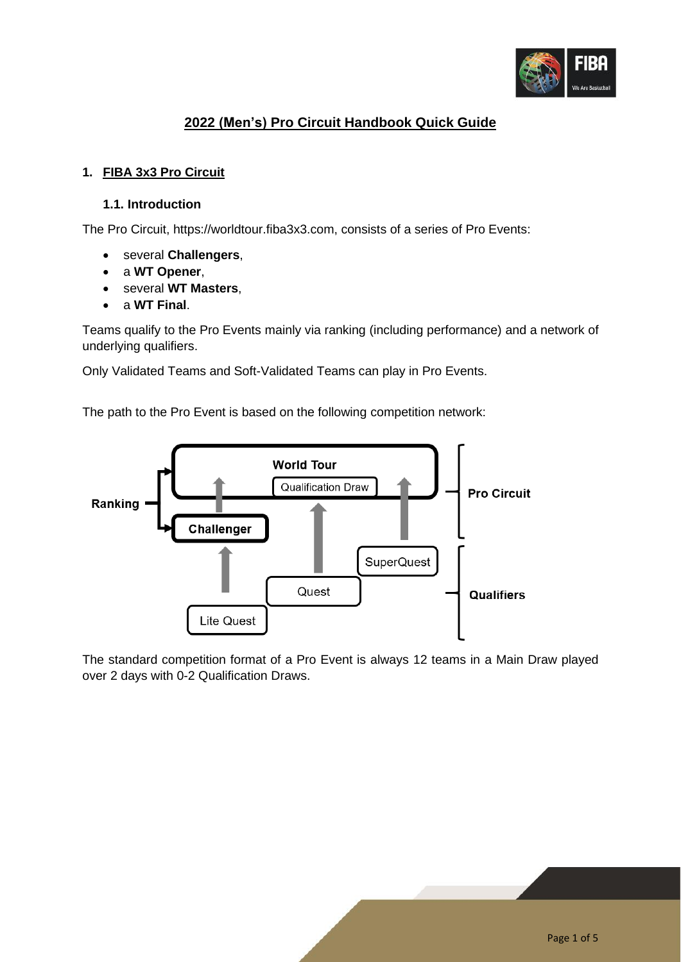

# **2022 (Men's) Pro Circuit Handbook Quick Guide**

## **1. FIBA 3x3 Pro Circuit**

### **1.1. Introduction**

The Pro Circuit, https://worldtour.fiba3x3.com, consists of a series of Pro Events:

- several **Challengers**,
- a **WT Opener**,
- several **WT Masters**,
- a **WT Final**.

Teams qualify to the Pro Events mainly via ranking (including performance) and a network of underlying qualifiers.

Only Validated Teams and Soft-Validated Teams can play in Pro Events.

The path to the Pro Event is based on the following competition network:



The standard competition format of a Pro Event is always 12 teams in a Main Draw played over 2 days with 0-2 Qualification Draws.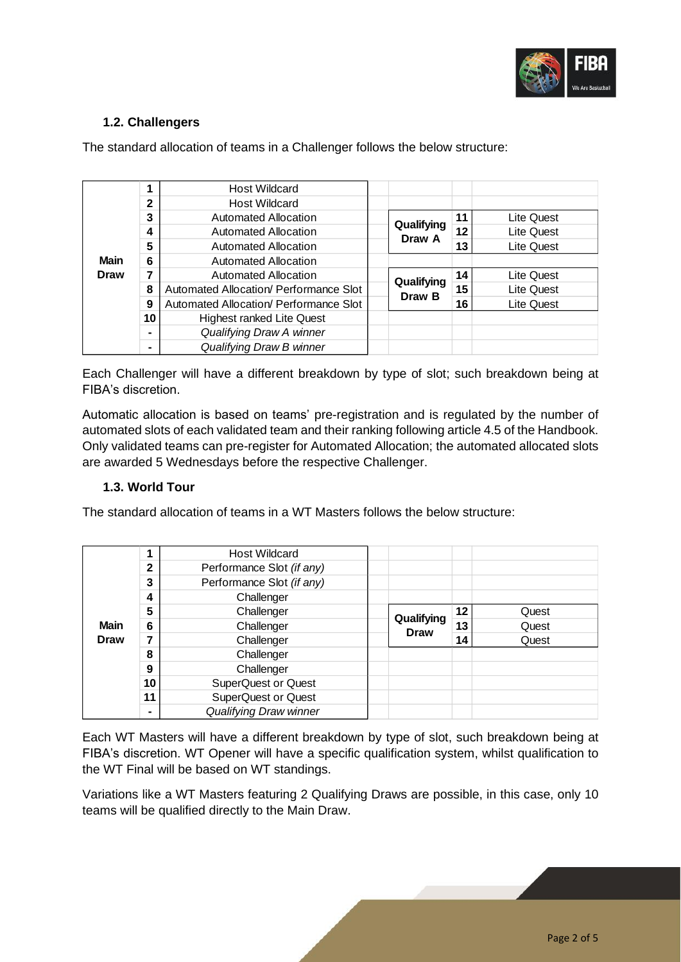

## **1.2. Challengers**

| <b>Main</b><br><b>Draw</b> |    | <b>Host Wildcard</b>                   |                      |    |                   |
|----------------------------|----|----------------------------------------|----------------------|----|-------------------|
|                            | 2  | <b>Host Wildcard</b>                   |                      |    |                   |
|                            | 3  | Automated Allocation                   | Qualifying<br>Draw A | 11 | Lite Quest        |
|                            | 4  | Automated Allocation                   |                      | 12 | Lite Quest        |
|                            | 5  | Automated Allocation                   |                      | 13 | Lite Quest        |
|                            | 6  | Automated Allocation                   |                      |    |                   |
|                            | 7  | Automated Allocation                   | Qualifying<br>Draw B | 14 | Lite Quest        |
|                            | 8  | Automated Allocation/ Performance Slot |                      | 15 | <b>Lite Quest</b> |
|                            | 9  | Automated Allocation/ Performance Slot |                      | 16 | Lite Quest        |
|                            | 10 | <b>Highest ranked Lite Quest</b>       |                      |    |                   |
|                            |    | Qualifying Draw A winner               |                      |    |                   |
|                            |    | Qualifying Draw B winner               |                      |    |                   |

The standard allocation of teams in a Challenger follows the below structure:

Each Challenger will have a different breakdown by type of slot; such breakdown being at FIBA's discretion.

Automatic allocation is based on teams' pre-registration and is regulated by the number of automated slots of each validated team and their ranking following article 4.5 of the Handbook. Only validated teams can pre-register for Automated Allocation; the automated allocated slots are awarded 5 Wednesdays before the respective Challenger.

### **1.3. World Tour**

The standard allocation of teams in a WT Masters follows the below structure:

| <b>Main</b><br><b>Draw</b> |              | <b>Host Wildcard</b>       |                           |    |       |
|----------------------------|--------------|----------------------------|---------------------------|----|-------|
|                            | $\mathbf{2}$ | Performance Slot (if any)  |                           |    |       |
|                            | 3            | Performance Slot (if any)  |                           |    |       |
|                            | 4            | Challenger                 |                           |    |       |
|                            | 5            | Challenger                 | Qualifying<br><b>Draw</b> | 12 | Quest |
|                            | 6            | Challenger                 |                           | 13 | Quest |
|                            |              | Challenger                 |                           | 14 | Quest |
|                            | 8            | Challenger                 |                           |    |       |
|                            | 9            | Challenger                 |                           |    |       |
|                            | 10           | <b>SuperQuest or Quest</b> |                           |    |       |
|                            | 11           | <b>SuperQuest or Quest</b> |                           |    |       |
|                            |              | Qualifying Draw winner     |                           |    |       |

Each WT Masters will have a different breakdown by type of slot, such breakdown being at FIBA's discretion. WT Opener will have a specific qualification system, whilst qualification to the WT Final will be based on WT standings.

Variations like a WT Masters featuring 2 Qualifying Draws are possible, in this case, only 10 teams will be qualified directly to the Main Draw.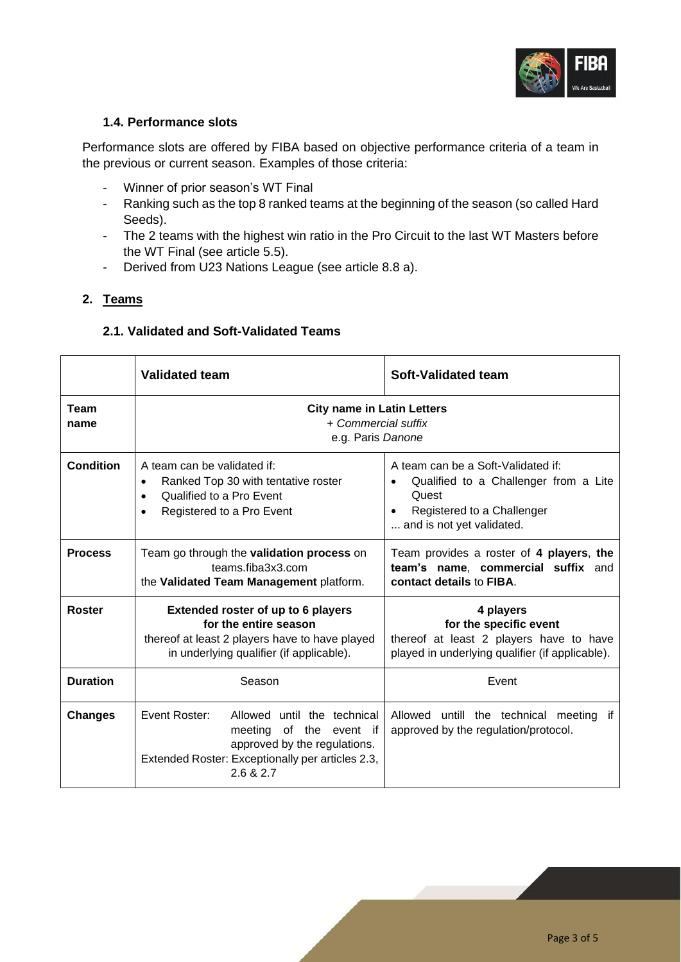

### **1.4. Performance slots**

Performance slots are offered by FIBA based on objective performance criteria of a team in the previous or current season. Examples of those criteria:

- Winner of prior season's WT Final
- Ranking such as the top 8 ranked teams at the beginning of the season (so called Hard Seeds).
- The 2 teams with the highest win ratio in the Pro Circuit to the last WT Masters before the WT Final (see article 5.5).
- Derived from U23 Nations League (see article 8.8 a).

## **2. Teams**

## **2.1. Validated and Soft-Validated Teams**

|                     | <b>Validated team</b>                                                                                                                                                | Soft-Validated team                                                                                                                                          |  |  |
|---------------------|----------------------------------------------------------------------------------------------------------------------------------------------------------------------|--------------------------------------------------------------------------------------------------------------------------------------------------------------|--|--|
| <b>Team</b><br>name | <b>City name in Latin Letters</b><br>+ Commercial suffix<br>e.g. Paris Danone                                                                                        |                                                                                                                                                              |  |  |
| <b>Condition</b>    | A team can be validated if:<br>Ranked Top 30 with tentative roster<br>$\bullet$<br>Qualified to a Pro Event<br>$\bullet$<br>Registered to a Pro Event                | A team can be a Soft-Validated if:<br>Qualified to a Challenger from a Lite<br>Quest<br>Registered to a Challenger<br>$\bullet$<br>and is not yet validated. |  |  |
| <b>Process</b>      | Team go through the <b>validation process</b> on<br>teams fiba3x3.com<br>the Validated Team Management platform.                                                     | Team provides a roster of 4 players, the<br>team's name, commercial suffix and<br>contact details to FIBA.                                                   |  |  |
| <b>Roster</b>       | Extended roster of up to 6 players<br>for the entire season<br>thereof at least 2 players have to have played<br>in underlying qualifier (if applicable).            | 4 players<br>for the specific event<br>thereof at least 2 players have to have<br>played in underlying qualifier (if applicable).                            |  |  |
| <b>Duration</b>     | Season                                                                                                                                                               | Event                                                                                                                                                        |  |  |
| <b>Changes</b>      | Event Roster:<br>Allowed until the technical<br>meeting of the event if<br>approved by the regulations.<br>Extended Roster: Exceptionally per articles 2.3,<br>26827 | Allowed untill the technical meeting if<br>approved by the regulation/protocol.                                                                              |  |  |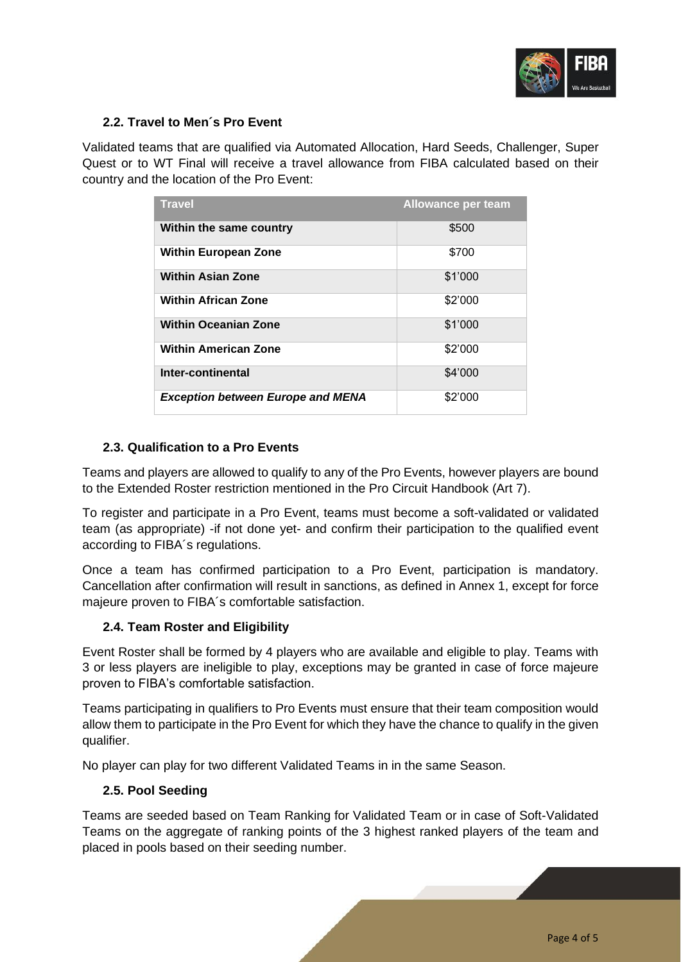

### **2.2. Travel to Men´s Pro Event**

Validated teams that are qualified via Automated Allocation, Hard Seeds, Challenger, Super Quest or to WT Final will receive a travel allowance from FIBA calculated based on their country and the location of the Pro Event:

| <b>Travel</b>                            | <b>Allowance per team</b> |
|------------------------------------------|---------------------------|
| Within the same country                  | \$500                     |
| <b>Within European Zone</b>              | \$700                     |
| <b>Within Asian Zone</b>                 | \$1'000                   |
| <b>Within African Zone</b>               | \$2'000                   |
| <b>Within Oceanian Zone</b>              | \$1'000                   |
| <b>Within American Zone</b>              | \$2'000                   |
| Inter-continental                        | \$4'000                   |
| <b>Exception between Europe and MENA</b> | \$2'000                   |

## **2.3. Qualification to a Pro Events**

Teams and players are allowed to qualify to any of the Pro Events, however players are bound to the Extended Roster restriction mentioned in the Pro Circuit Handbook (Art 7).

To register and participate in a Pro Event, teams must become a soft-validated or validated team (as appropriate) -if not done yet- and confirm their participation to the qualified event according to FIBA´s regulations.

Once a team has confirmed participation to a Pro Event, participation is mandatory. Cancellation after confirmation will result in sanctions, as defined in Annex 1, except for force majeure proven to FIBA´s comfortable satisfaction.

### **2.4. Team Roster and Eligibility**

Event Roster shall be formed by 4 players who are available and eligible to play. Teams with 3 or less players are ineligible to play, exceptions may be granted in case of force majeure proven to FIBA's comfortable satisfaction.

Teams participating in qualifiers to Pro Events must ensure that their team composition would allow them to participate in the Pro Event for which they have the chance to qualify in the given qualifier.

No player can play for two different Validated Teams in in the same Season.

### **2.5. Pool Seeding**

Teams are seeded based on Team Ranking for Validated Team or in case of Soft-Validated Teams on the aggregate of ranking points of the 3 highest ranked players of the team and placed in pools based on their seeding number.